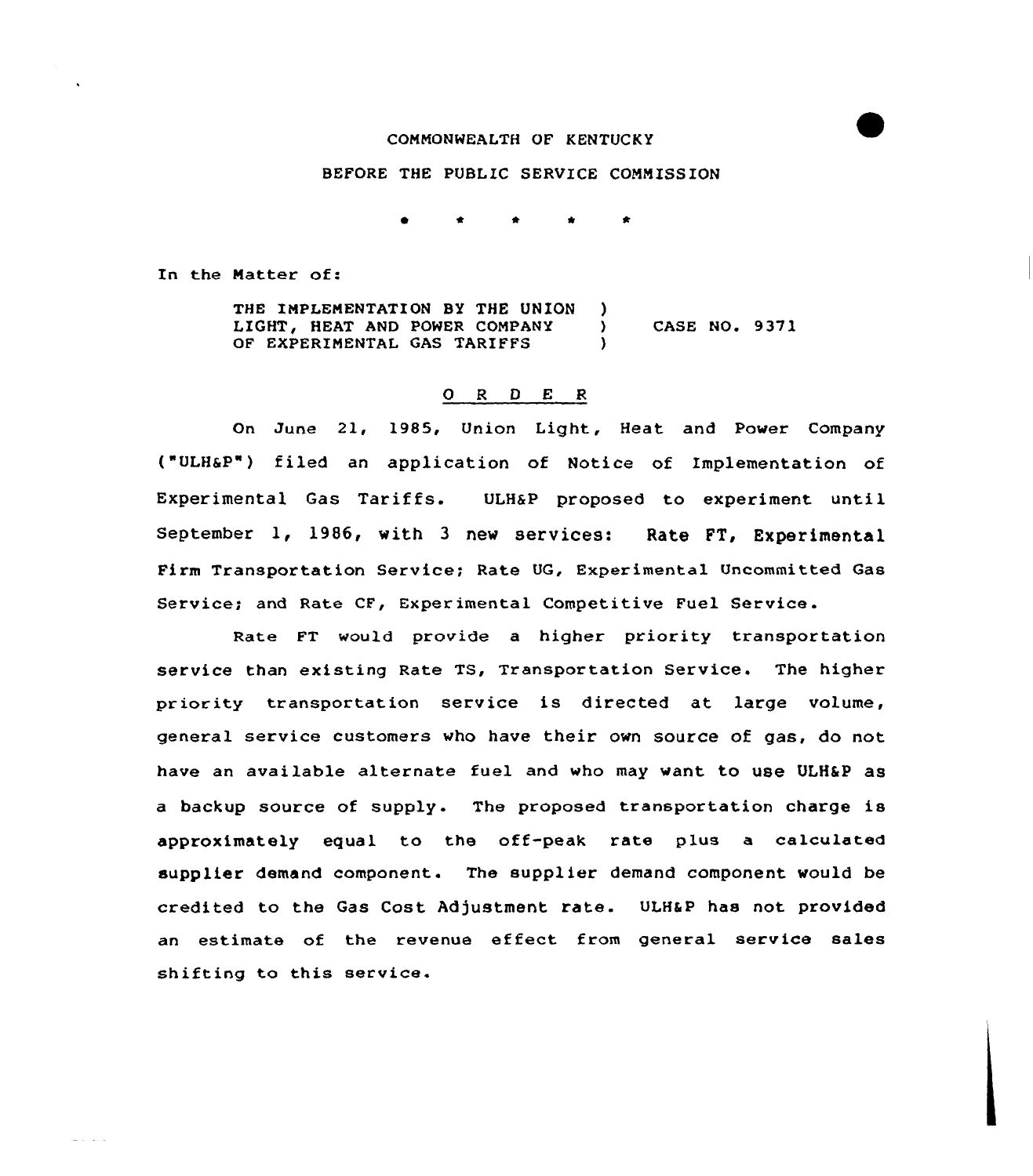## COMMONWEALTH OF KENTUCKY

## BEFORE THE PUBLIC SERVICE COMMISSION

In the Natter of:

 $\Delta\sigma$  ,  $\sigma$  ,  $\sigma$  ,  $\Delta\sigma$ 

THE IMPLEMENTATION BY THE UNION LIGHT, HEAT AND POWER COMPANY OF EXPERIMENTAL GAS TARIFFS ) ) CASE NO. 9 37 1  $\mathbf{A}$ 

## 0 <sup>R</sup> <sup>D</sup> E <sup>R</sup>

On June 21, 1985, Union Light, Heat and Power Company ("ULH6P") filed an application of Notice of Implementation of Experimental Gas Tariffs. ULHSP proposed to experiment until September 1, 1986, with <sup>3</sup> new services: Rate FT, Experimental Firm Transportation Service; Rate UG, Experimental Uncommitted Gas Service; and Rate CF, Experimental Competitive Fuel Service.

Rate FT would provide a higher priority transportation service than existing Rate TS, Transportation Service. The higher priority transportation service is directed at large volume, general service customers who have their own source of gas, do not have an available alternate fuel and who may want to use ULH&P as a backup source of supply. The proposed transportation charge is approximately equal to the off-peak rate plus a calculated supplier demand component. The supplier demand component would be credited to the Gas Cost Adjustment rate. ULH&P has not provided an estimate of the revenue effect from general service sales shifting to this service.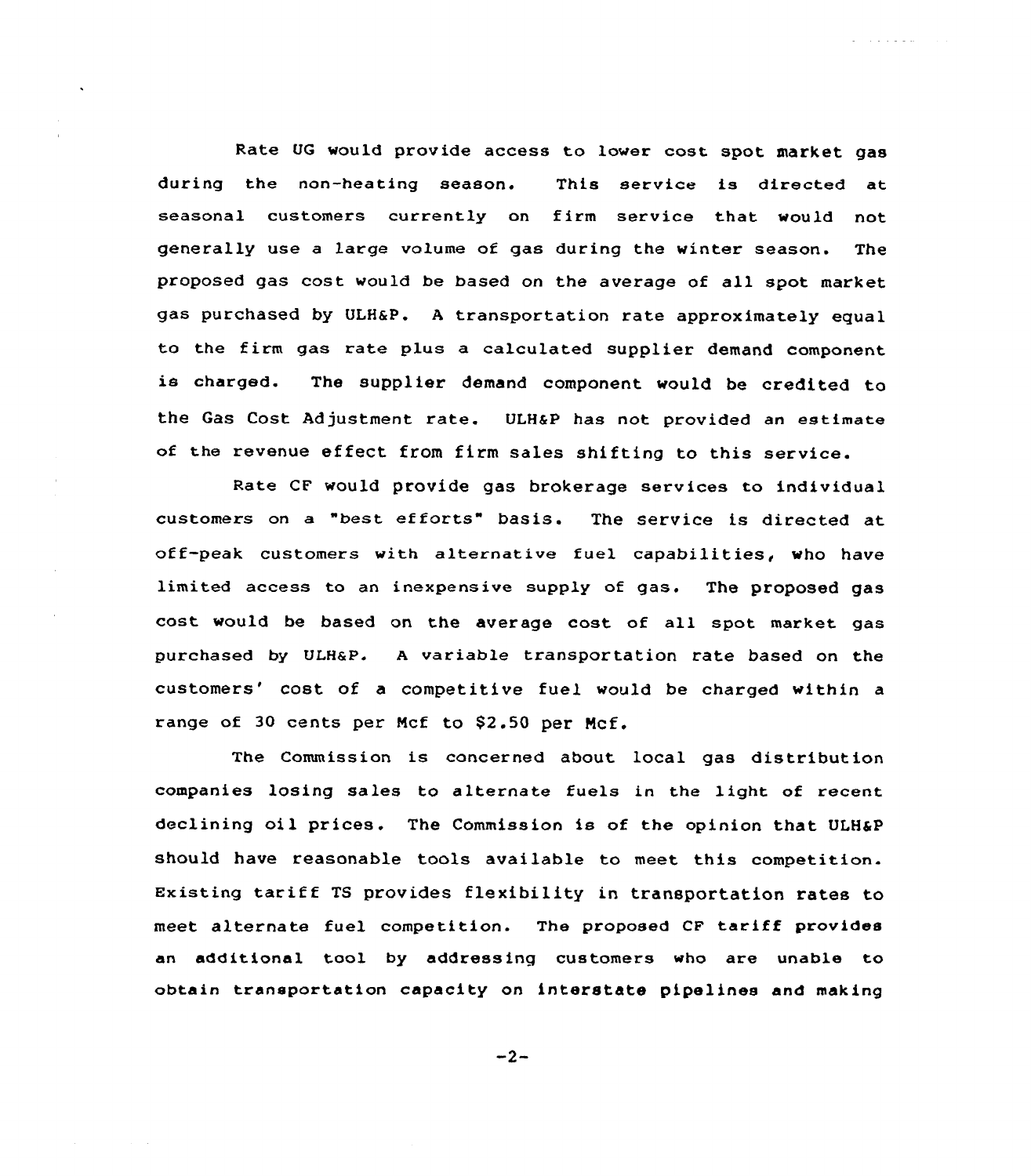Rate UG would provide access to lower cost spot market gas during the non-heating season. This service is directed at seasonal customers currently on firm service that would not generally use a large volume of gas during the winter season. The proposed gas cost would be based on the average of all spot market gas purchased by ULHaP. <sup>A</sup> transportation rate approximately equal to the firm gas rate plus a calculated supplier demand component is charged. The supplier demand component would be credited to the Gas Cost Adjustment rate. ULH&P has not provided an estimate of the revenue effect from firm sales shifting to this service.

 $\mathcal{A}$  , and  $\mathcal{A}$  , and  $\mathcal{A}$ 

Rate CF would provide gas brokerage services to individual customers on <sup>a</sup> "hest efforts" basis. The service is directed at off-peak customers with alternative fuel capabilities, who have limited access to an inexpensive supply of gas. The proposed gas cost would be based on the average cost of all spot market gas purchased by ULHaP. <sup>A</sup> variable transportation rate based on the customers' cost of a competitive fuel would be charged within a range of 30 cents per Mcf to \$2.50 per Mcf.

The Commission is concerned about local gas distribution companies losing sales to alternate fuels in the light of recent declining oil prices. The Commission is of the opinion that ULH6P should have reasonable tools available to meet this competition. Existing tariff TS provides flexibility in transportation rates to meet alternate fuel competition. The proposed CF tariff provides an additional tool by addressing customers who are unable to obtain transportation capacity on interstate pipelines and making

 $-2-$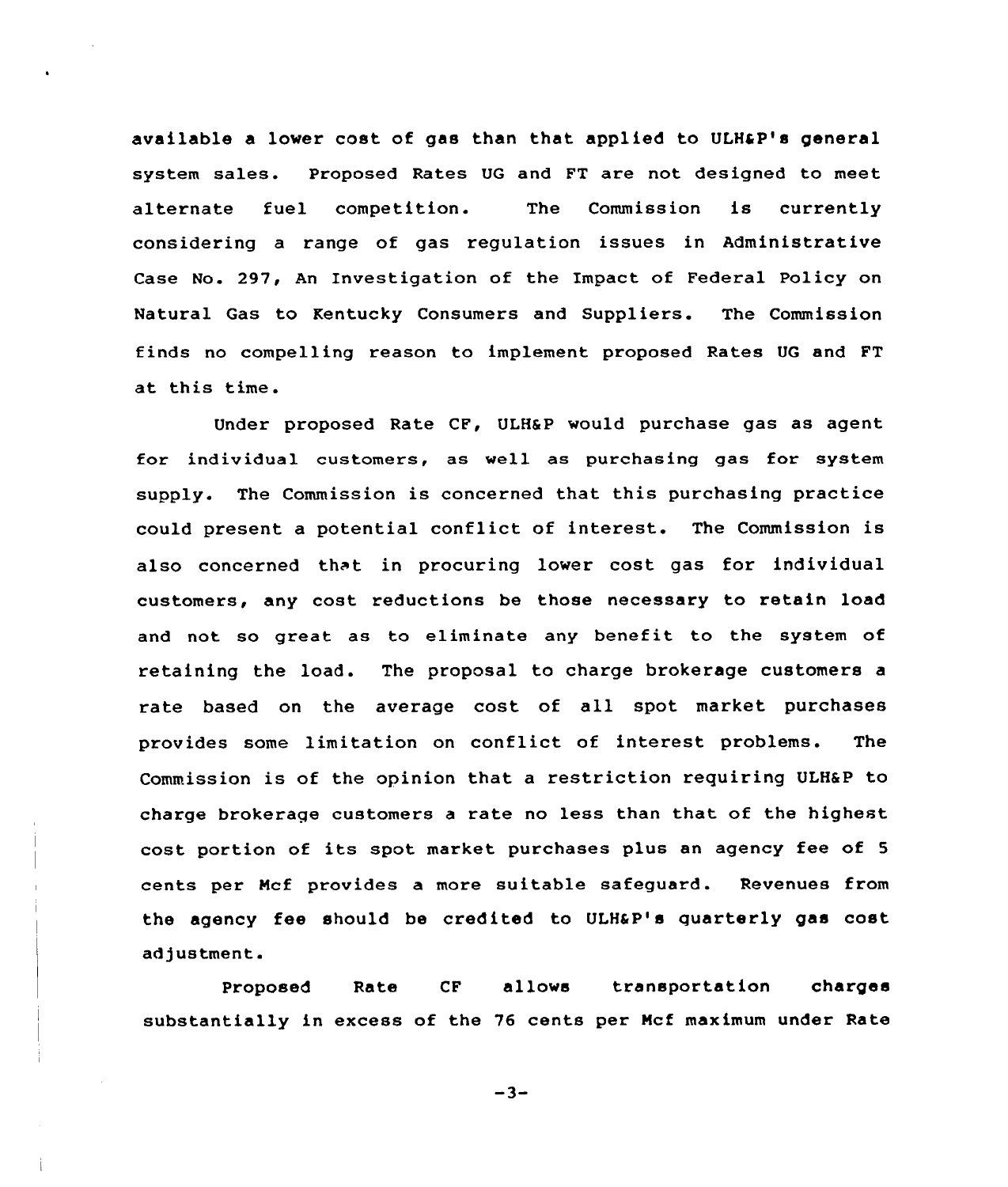available a lower cost of gas than that applied to ULH&P's general system sales. Proposed Rates UG and FT are not designed to meet alternate fuel competition. The Commission is currently considering a range of gas regulation issues in Administrative Case No. 297, An Investigation of the Impact of Federal Policy on Natural Gas to Kentucky Consumers and Suppliers. The Commission finds no compelling reason to implement proposed Rates UG and FT at this time.

Under proposed Rate CF, ULH6P would purchase gas as agent for individual customers, as well as purchasing gas for system supply. The Commission is concerned that this purchasing practice could present a potential conflict of interest. The Commission is also concerned that in procuring lower cost gas for individual customers, any cost reductions be those necessary to retain load and not so great as to eliminate any benefit to the system of retaining the load. The proposal to charge brokerage customers a rate based on the average cost of all spot market purchases provides some limitation on conflict of interest problems. The Commission is of the opinion that a restriction requiring ULH&P to charge brokerage customers a rate no less than that of the highest cost portion of its spot market purchases plus an agency fee of <sup>5</sup> cents per Ncf provides a more suitable safeguard. Revenues from the agency fee should be credited to ULHaP's quarterly gas cost adjustment.

Proposed Rate CF allows transportation charges substantially in excess of the 76 cents per Mcf maximum under Rate

 $-3-$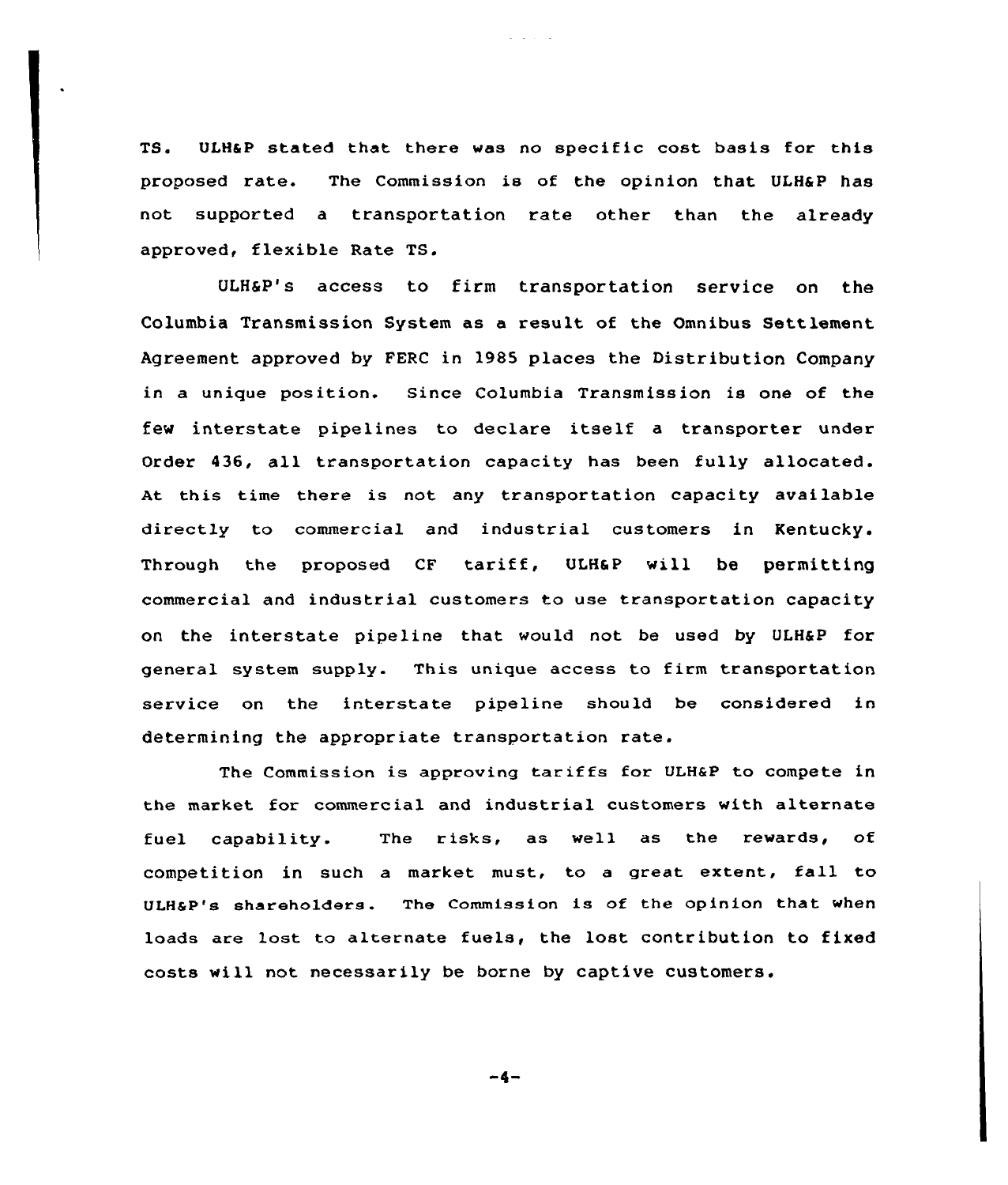TS. ULHSP stated that there was no specific cost basis for this proposed rate. The Commission is of the opinion that, ULH&P has not supported a transportation rate other than the already approved, flexible Rate TS.

ULHaP's access to firm transportation service on the Columbia Transmission System as a result of the Omnibus Settlement Agreement approved by FERC in 1985 places the Distribution Company in a unique position. Since Columbia Transmission is one of the fev interstate pipelines to declare itself <sup>a</sup> transporter under Order 436, all transportation capacity has been fully allocated. At this time there is not any transportation capacity available directly to commercial and industrial customers in Kentucky. Through the proposed CF tariff, ULH6P will be permitting commercial and industrial customers to use transportation capacity on the interstate pipeline that would not be used by ULH&P for general system supply. This unique access to firm transportation service on the interstate pipeline should be considered in determining the appropriate transportation rate.

The Commission is approving tariffs for ULH&P to compete in the market for commercial and industrial customers with alternate fuel capability. The risks, as well as the rewards, of competition in such <sup>a</sup> market must, to <sup>a</sup> great extent, fall to ULHSP's shareholders. The Commission is of the opinion that when loads are lost to alternate fuels, the lost contribution to fixed costs will not necessarily be borne by captive customers.

-4-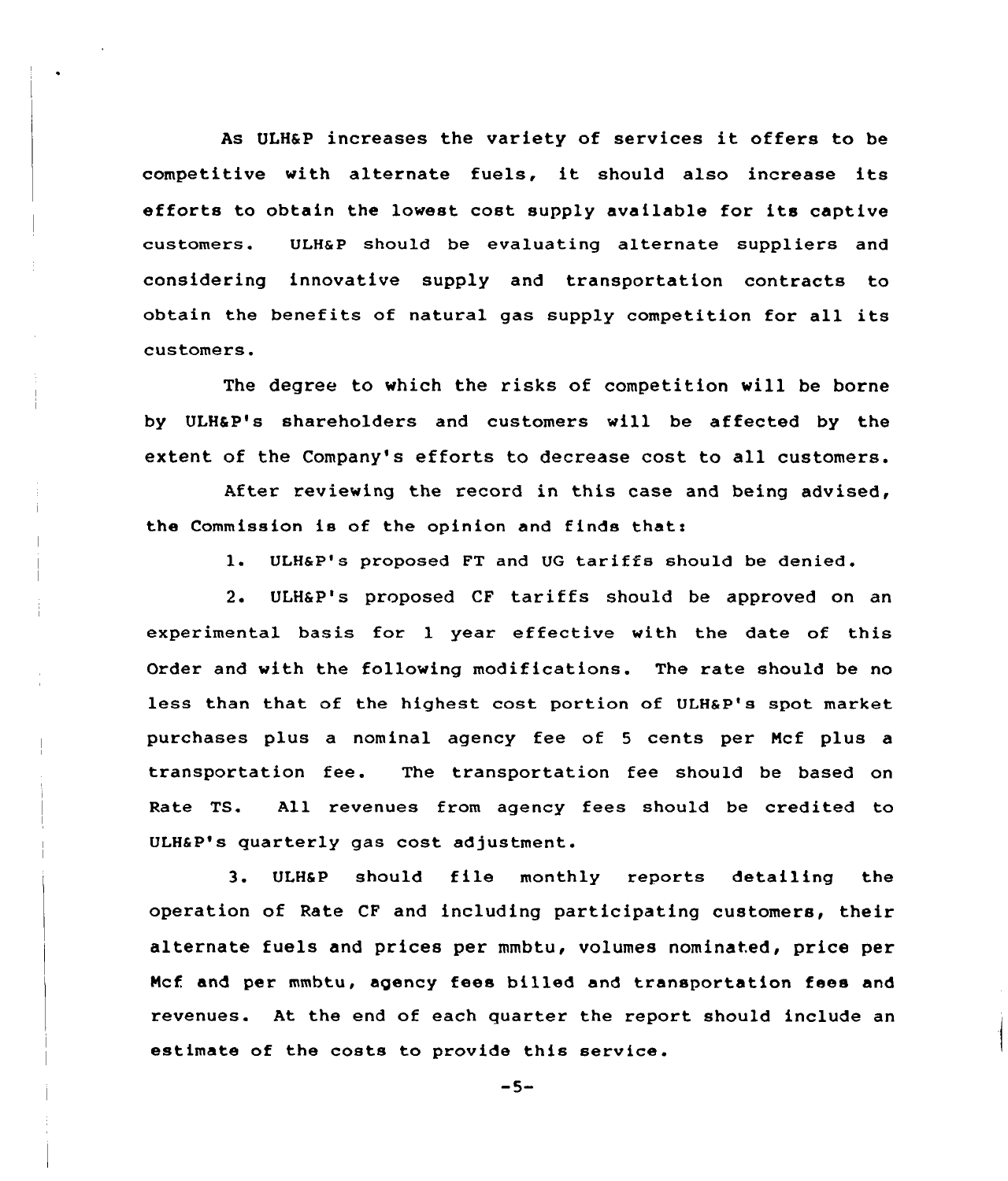As ULH6P increases the variety of services it offers to be competitive with alternate fuels, it should also increase its efforts to obtain the lowest cost supply available for its captive customers. ULHaP should be evaluating alternate suppliers and considering innovative supply and transportation contracts to obtain the benefits of natural gas supply competition for all its customers.

The degree to which the risks of competition will be borne by ULH&P's shareholders and customers will be affected by the extent of the Company's efforts to decrease cost to all customers.

After reviewing the record in this case and being advised, the Commission is of the opinion and finds that:

l. ULH&P's Proposed FT and UG tariffs should be denied.

2. ULH6 P's proposed CF tariffs should be approved on an experimental basis for l year effective with the date of this Order and with the following modifications. The rate should be no less than that of the highest cost portion of ULH&P's spot market purchases plus a nominal agency fee of <sup>5</sup> cents per Ncf plus a transportation fee. The transportation fee should be based on Rate TS. All revenues from agency fees should be credited to ULHSP's quarterly gas cost adjustment.

3. ULH&P should file monthly reports detailing the operation of Rate CF and including participating customers, their alternate fuels and prices per mmbtu, volumes nominated, price per Ncf and per mmbtu, agency fees billed and transportation fees and revenues. At the end of each quarter the report should include an estimate of the costs to provide this service.

 $-5-$